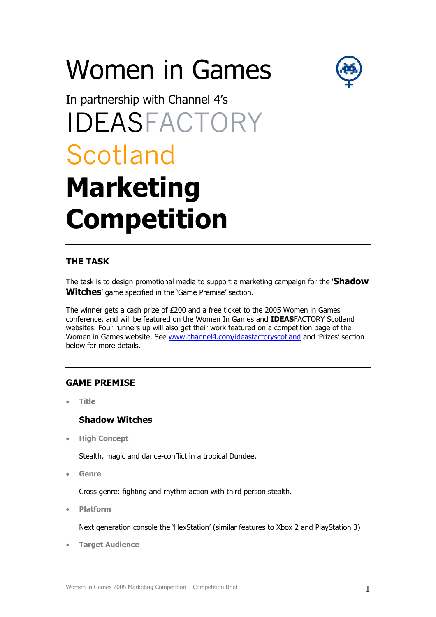# Women in Games



# In partnership with Channel 4's IDEASFACTORY Scotland **Marketing Competition**

# **THE TASK**

The task is to design promotional media to support a marketing campaign for the '**Shadow Witches**' game specified in the 'Game Premise' section.

The winner gets a cash prize of £200 and a free ticket to the 2005 Women in Games conference, and will be featured on the Women In Games and **IDEAS**FACTORY Scotland websites. Four runners up will also get their work featured on a competition page of the Women in Games website. See [www.channel4.com/ideasfactoryscotland](http://www.channel4.com/ideasfactoryscotland) and 'Prizes' section below for more details.

# **GAME PREMISE**

• **Title** 

# **Shadow Witches**

• **High Concept** 

Stealth, magic and dance-conflict in a tropical Dundee.

• **Genre** 

Cross genre: fighting and rhythm action with third person stealth.

• **Platform** 

Next generation console the 'HexStation' (similar features to Xbox 2 and PlayStation 3)

• **Target Audience**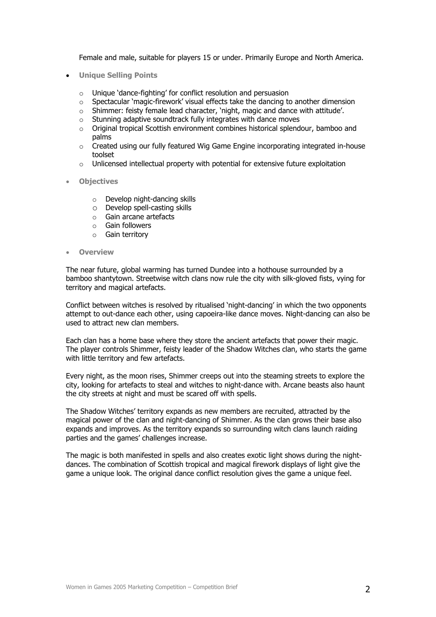Female and male, suitable for players 15 or under. Primarily Europe and North America.

- **Unique Selling Points**
	- o Unique 'dance-fighting' for conflict resolution and persuasion
	- $\circ$  Spectacular 'magic-firework' visual effects take the dancing to another dimension
	- o Shimmer: feisty female lead character, 'night, magic and dance with attitude'.
	- $\circ$  Stunning adaptive soundtrack fully integrates with dance moves
	- $\circ$  Original tropical Scottish environment combines historical splendour, bamboo and palms
	- $\circ$  Created using our fully featured Wig Game Engine incorporating integrated in-house toolset
	- o Unlicensed intellectual property with potential for extensive future exploitation
- **Objectives** 
	- o Develop night-dancing skills
	- o Develop spell-casting skills
	- o Gain arcane artefacts
	- o Gain followers
	- o Gain territory
- **Overview**

The near future, global warming has turned Dundee into a hothouse surrounded by a bamboo shantytown. Streetwise witch clans now rule the city with silk-gloved fists, vying for territory and magical artefacts.

Conflict between witches is resolved by ritualised 'night-dancing' in which the two opponents attempt to out-dance each other, using capoeira-like dance moves. Night-dancing can also be used to attract new clan members.

Each clan has a home base where they store the ancient artefacts that power their magic. The player controls Shimmer, feisty leader of the Shadow Witches clan, who starts the game with little territory and few artefacts.

Every night, as the moon rises, Shimmer creeps out into the steaming streets to explore the city, looking for artefacts to steal and witches to night-dance with. Arcane beasts also haunt the city streets at night and must be scared off with spells.

The Shadow Witches' territory expands as new members are recruited, attracted by the magical power of the clan and night-dancing of Shimmer. As the clan grows their base also expands and improves. As the territory expands so surrounding witch clans launch raiding parties and the games' challenges increase.

The magic is both manifested in spells and also creates exotic light shows during the nightdances. The combination of Scottish tropical and magical firework displays of light give the game a unique look. The original dance conflict resolution gives the game a unique feel.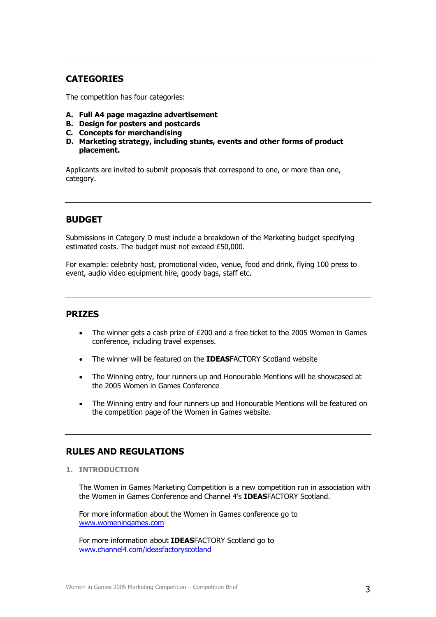# **CATEGORIES**

The competition has four categories:

- **A. Full A4 page magazine advertisement**
- **B. Design for posters and postcards**
- **C. Concepts for merchandising**
- **D. Marketing strategy, including stunts, events and other forms of product placement.**

Applicants are invited to submit proposals that correspond to one, or more than one, category.

# **BUDGET**

Submissions in Category D must include a breakdown of the Marketing budget specifying estimated costs. The budget must not exceed £50,000.

For example: celebrity host, promotional video, venue, food and drink, flying 100 press to event, audio video equipment hire, goody bags, staff etc.

### **PRIZES**

- The winner gets a cash prize of £200 and a free ticket to the 2005 Women in Games conference, including travel expenses.
- The winner will be featured on the **IDEAS**FACTORY Scotland website
- The Winning entry, four runners up and Honourable Mentions will be showcased at the 2005 Women in Games Conference
- The Winning entry and four runners up and Honourable Mentions will be featured on the competition page of the Women in Games website.

## **RULES AND REGULATIONS**

**1. INTRODUCTION** 

The Women in Games Marketing Competition is a new competition run in association with the Women in Games Conference and Channel 4's **IDEAS**FACTORY Scotland.

For more information about the Women in Games conference go to [www.womeningames.com](http://www.womeningames.com/)

For more information about **IDEAS**FACTORY Scotland go to [www.channel4.com/ideasfactoryscotland](http://www.channel4.com/ideasfactoryscotland)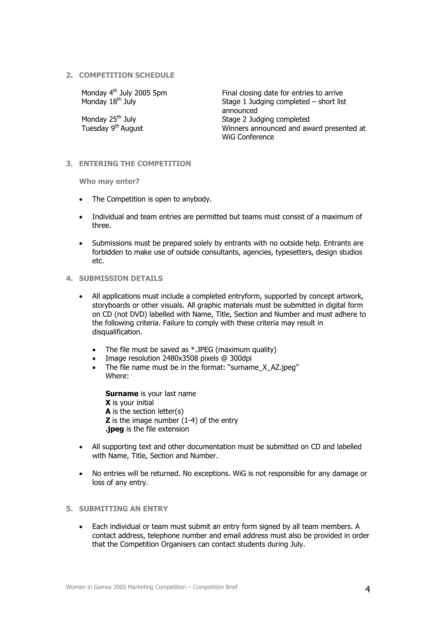#### **2. COMPETITION SCHEDULE**

Monday  $4^{\text{th}}$  July 2005 5pm Final closing date for entries to arrive<br>Monday  $18^{\text{th}}$  July  $\phantom{1}$  Monday  $18^{\text{th}}$  July Stage 1 Judging completed – short list announced Monday 25th July Stage 2 Judging completed Winners announced and award presented at WiG Conference

#### **3. ENTERING THE COMPETITION**

**Who may enter?**

- The Competition is open to anybody.
- Individual and team entries are permitted but teams must consist of a maximum of three.
- Submissions must be prepared solely by entrants with no outside help. Entrants are forbidden to make use of outside consultants, agencies, typesetters, design studios etc.

#### **4. SUBMISSION DETAILS**

- All applications must include a completed entryform, supported by concept artwork, storyboards or other visuals. All graphic materials must be submitted in digital form on CD (not DVD) labelled with Name, Title, Section and Number and must adhere to the following criteria. Failure to comply with these criteria may result in disqualification.
	- The file must be saved as \*.JPEG (maximum quality)
	- Image resolution 2480x3508 pixels @ 300dpi
	- The file name must be in the format: "surname X AZ.jpeg" Where:

**Surname** is your last name **X** is your initial **A** is the section letter(s) **Z** is the image number (1-4) of the entry **.jpeg** is the file extension

- All supporting text and other documentation must be submitted on CD and labelled with Name, Title, Section and Number.
- No entries will be returned. No exceptions. WiG is not responsible for any damage or loss of any entry.

#### **5. SUBMITTING AN ENTRY**

• Each individual or team must submit an entry form signed by all team members. A contact address, telephone number and email address must also be provided in order that the Competition Organisers can contact students during July.